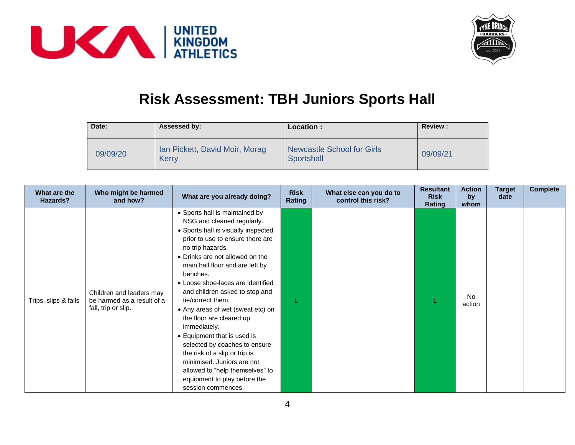



## **Risk Assessment: TBH Juniors Sports Hall**

| Date:    | Assessed by:                            | Location:                                       | <b>Review:</b> |
|----------|-----------------------------------------|-------------------------------------------------|----------------|
| 09/09/20 | Ian Pickett, David Moir, Morag<br>Kerry | <b>Newcastle School for Girls</b><br>Sportshall | 09/09/21       |

| What are the<br>Hazards? | Who might be harmed<br>and how?                                               | What are you already doing?                                                                                                                                                                                                                                                                                                                                                                                                                                                                                                 | <b>Risk</b><br>Rating | What else can you do to<br>control this risk? | <b>Resultant</b><br><b>Risk</b><br>Rating | <b>Action</b><br>by<br>whom | <b>Target</b><br>date | <b>Complete</b> |
|--------------------------|-------------------------------------------------------------------------------|-----------------------------------------------------------------------------------------------------------------------------------------------------------------------------------------------------------------------------------------------------------------------------------------------------------------------------------------------------------------------------------------------------------------------------------------------------------------------------------------------------------------------------|-----------------------|-----------------------------------------------|-------------------------------------------|-----------------------------|-----------------------|-----------------|
| Trips, slips & falls     | Children and leaders may<br>be harmed as a result of a<br>fall, trip or slip. | • Sports hall is maintained by<br>NSG and cleaned regularly.<br>• Sports hall is visually inspected<br>prior to use to ensure there are<br>no trip hazards.<br>• Drinks are not allowed on the<br>main hall floor and are left by<br>benches.<br>• Loose shoe-laces are identified<br>and children asked to stop and<br>tie/correct them.<br>• Any areas of wet (sweat etc) on<br>the floor are cleared up<br>immediately.<br>• Equipment that is used is<br>selected by coaches to ensure<br>the risk of a slip or trip is |                       |                                               |                                           | <b>No</b><br>action         |                       |                 |
|                          |                                                                               | minimised. Juniors are not<br>allowed to "help themselves" to<br>equipment to play before the<br>session commences.                                                                                                                                                                                                                                                                                                                                                                                                         |                       |                                               |                                           |                             |                       |                 |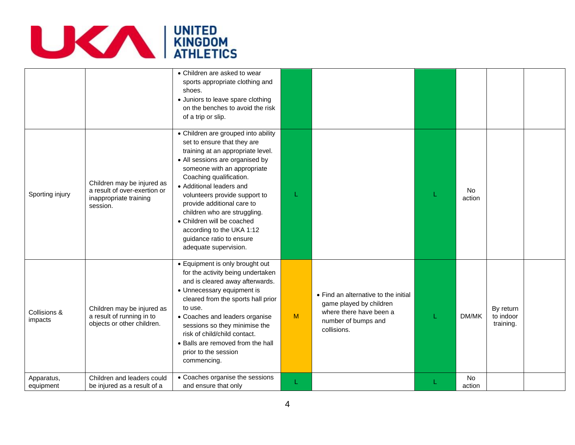

|                         |                                                                                                  | • Children are asked to wear<br>sports appropriate clothing and<br>shoes.<br>• Juniors to leave spare clothing<br>on the benches to avoid the risk<br>of a trip or slip.                                                                                                                                                                                                                                                                        |   |                                                                                                                                  |                     |                                     |  |
|-------------------------|--------------------------------------------------------------------------------------------------|-------------------------------------------------------------------------------------------------------------------------------------------------------------------------------------------------------------------------------------------------------------------------------------------------------------------------------------------------------------------------------------------------------------------------------------------------|---|----------------------------------------------------------------------------------------------------------------------------------|---------------------|-------------------------------------|--|
| Sporting injury         | Children may be injured as<br>a result of over-exertion or<br>inappropriate training<br>session. | • Children are grouped into ability<br>set to ensure that they are<br>training at an appropriate level.<br>• All sessions are organised by<br>someone with an appropriate<br>Coaching qualification.<br>• Additional leaders and<br>volunteers provide support to<br>provide additional care to<br>children who are struggling.<br>• Children will be coached<br>according to the UKA 1:12<br>guidance ratio to ensure<br>adequate supervision. |   |                                                                                                                                  | <b>No</b><br>action |                                     |  |
| Collisions &<br>impacts | Children may be injured as<br>a result of running in to<br>objects or other children.            | • Equipment is only brought out<br>for the activity being undertaken<br>and is cleared away afterwards.<br>• Unnecessary equipment is<br>cleared from the sports hall prior<br>to use.<br>• Coaches and leaders organise<br>sessions so they minimise the<br>risk of child/child contact.<br>• Balls are removed from the hall<br>prior to the session<br>commencing.                                                                           | M | • Find an alternative to the initial<br>game played by children<br>where there have been a<br>number of bumps and<br>collisions. | DM/MK               | By return<br>to indoor<br>training. |  |
| Apparatus,<br>equipment | Children and leaders could<br>be injured as a result of a                                        | • Coaches organise the sessions<br>and ensure that only                                                                                                                                                                                                                                                                                                                                                                                         | L |                                                                                                                                  | No<br>action        |                                     |  |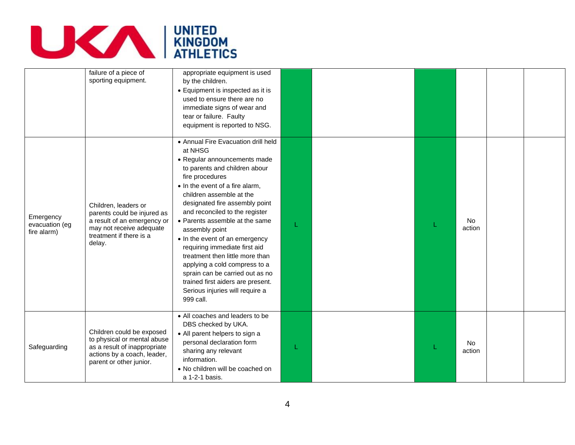

|                                            | failure of a piece of<br>sporting equipment.                                                                                                        | appropriate equipment is used<br>by the children.<br>• Equipment is inspected as it is<br>used to ensure there are no<br>immediate signs of wear and<br>tear or failure. Faulty<br>equipment is reported to NSG.                                                                                                                                                                                                                                                                                                                                                                         |   |                     |  |
|--------------------------------------------|-----------------------------------------------------------------------------------------------------------------------------------------------------|------------------------------------------------------------------------------------------------------------------------------------------------------------------------------------------------------------------------------------------------------------------------------------------------------------------------------------------------------------------------------------------------------------------------------------------------------------------------------------------------------------------------------------------------------------------------------------------|---|---------------------|--|
| Emergency<br>evacuation (eg<br>fire alarm) | Children, leaders or<br>parents could be injured as<br>a result of an emergency or<br>may not receive adequate<br>treatment if there is a<br>delay. | • Annual Fire Evacuation drill held<br>at NHSG<br>• Regular announcements made<br>to parents and children abour<br>fire procedures<br>• In the event of a fire alarm,<br>children assemble at the<br>designated fire assembly point<br>and reconciled to the register<br>• Parents assemble at the same<br>assembly point<br>• In the event of an emergency<br>requiring immediate first aid<br>treatment then little more than<br>applying a cold compress to a<br>sprain can be carried out as no<br>trained first aiders are present.<br>Serious injuries will require a<br>999 call. | L | No<br>action        |  |
| Safeguarding                               | Children could be exposed<br>to physical or mental abuse<br>as a result of inappropriate<br>actions by a coach, leader,<br>parent or other junior.  | • All coaches and leaders to be<br>DBS checked by UKA.<br>• All parent helpers to sign a<br>personal declaration form<br>sharing any relevant<br>information.<br>• No children will be coached on<br>a 1-2-1 basis.                                                                                                                                                                                                                                                                                                                                                                      |   | <b>No</b><br>action |  |